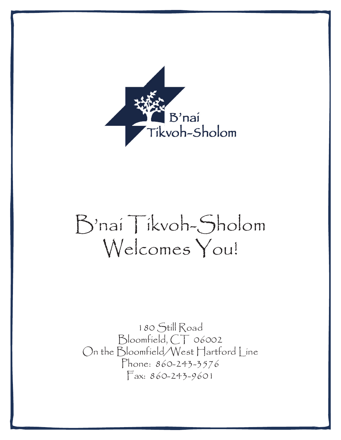

# B'nai Tikvoh-Sholom Welcomes You!

180 Still Road Bloomfield, CT 06002 On the Bloomfield/West Hartford Line Phone: 860-243-3576 Fax: 860-243-9601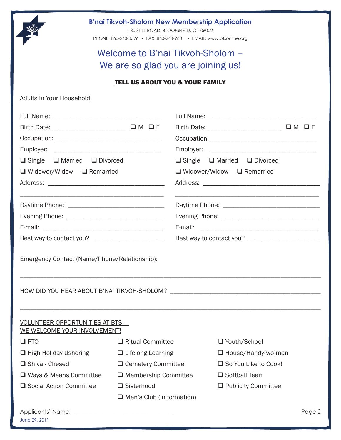

# **B'nai Tikvoh-Sholom New Membership Application**

180 STILL ROAD, BLOOMFIELD, CT 06002

PHONE: 860-243-3576 • FAX: 860-243-9601 • EMAIL: www.btsonline.org

# Welcome to B'nai Tikvoh-Sholom – We are so glad you are joining us!

# TELL US ABOUT YOU & YOUR FAMILY

#### Adults in Your Household:

| $\Box$ Single $\Box$ Married $\Box$ Divorced                     |                                  |                                       | $\Box$ Single $\Box$ Married $\Box$ Divorced |        |  |  |
|------------------------------------------------------------------|----------------------------------|---------------------------------------|----------------------------------------------|--------|--|--|
| $\Box$ Widower/Widow $\Box$ Remarried                            |                                  | $\Box$ Widower/Widow $\Box$ Remarried |                                              |        |  |  |
|                                                                  |                                  |                                       |                                              |        |  |  |
|                                                                  |                                  |                                       |                                              |        |  |  |
|                                                                  |                                  |                                       |                                              |        |  |  |
|                                                                  |                                  |                                       |                                              |        |  |  |
|                                                                  |                                  |                                       |                                              |        |  |  |
|                                                                  |                                  |                                       |                                              |        |  |  |
| VOLUNTEER OPPORTUNITIES AT BTS -<br>WE WELCOME YOUR INVOLVEMENT! |                                  |                                       |                                              |        |  |  |
| $\square$ PTO                                                    | $\Box$ Ritual Committee          |                                       | □ Youth/School                               |        |  |  |
| $\Box$ High Holiday Ushering                                     | $\Box$ Lifelong Learning         |                                       | $\Box$ House/Handy(wo)man                    |        |  |  |
| Shiva - Chesed                                                   | $\Box$ Cemetery Committee        |                                       | □ So You Like to Cook!                       |        |  |  |
| □ Ways & Means Committee                                         | $\Box$ Membership Committee      |                                       | □ Softball Team                              |        |  |  |
| □ Social Action Committee<br>$\Box$ Sisterhood                   |                                  |                                       | $\Box$ Publicity Committee                   |        |  |  |
|                                                                  | $\Box$ Men's Club (in formation) |                                       |                                              |        |  |  |
| June 29, 2011                                                    |                                  |                                       |                                              | Page 2 |  |  |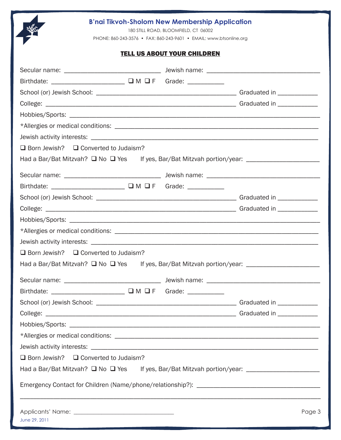# **B'nai Tikvoh-Sholom New Membership Application**

180 STILL ROAD, BLOOMFIELD, CT 06002

PHONE: 860-243-3576 • FAX: 860-243-9601 • EMAIL: www.btsonline.org

#### TELL US ABOUT YOUR CHILDREN

| $\Box$ Born Jewish? $\Box$ Converted to Judaism?                                                    |        |
|-----------------------------------------------------------------------------------------------------|--------|
| Had a Bar/Bat Mitzvah? ■ No ■ Yes If yes, Bar/Bat Mitzvah portion/year: ___________________________ |        |
|                                                                                                     |        |
| Birthdate: ______________________ Q M Q F Grade: __________                                         |        |
|                                                                                                     |        |
|                                                                                                     |        |
|                                                                                                     |        |
|                                                                                                     |        |
|                                                                                                     |        |
| $\Box$ Born Jewish? $\Box$ Converted to Judaism?                                                    |        |
| Had a Bar/Bat Mitzvah? ■ No ■ Yes If yes, Bar/Bat Mitzvah portion/year: ___________________________ |        |
|                                                                                                     |        |
| Birthdate: _______________________ Q M Q F Grade: ___________                                       |        |
|                                                                                                     |        |
|                                                                                                     |        |
|                                                                                                     |        |
|                                                                                                     |        |
|                                                                                                     |        |
| $\Box$ Born Jewish? $\Box$ Converted to Judaism?                                                    |        |
| Had a Bar/Bat Mitzvah? ■ No ■ Yes If yes, Bar/Bat Mitzvah portion/year: ___________________________ |        |
|                                                                                                     |        |
| June 29, 2011                                                                                       | Page 3 |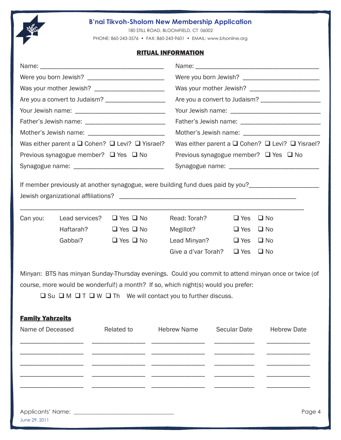

# **B'nai Tikvoh-Sholom New Membership Application**

180 STILL ROAD, BLOOMFIELD, CT 06002

PHONE: 860-243-3576 • FAX: 860-243-9601 • EMAIL: www.btsonline.org

#### RITUAL INFORMATION

| Was your mother Jewish? _________________________<br>Was either parent a $\square$ Cohen? $\square$ Levi? $\square$ Yisrael?<br>Previous synagogue member? $\Box$ Yes $\Box$ No |  |                                                                                                                                                                              | Was either parent a $\square$ Cohen? $\square$ Levi? $\square$ Yisrael?<br>Previous synagogue member? $\Box$ Yes $\Box$ No |  |                     |                                                                                                      |          |                                     |                      |                     |  |            |              |  |
|---------------------------------------------------------------------------------------------------------------------------------------------------------------------------------|--|------------------------------------------------------------------------------------------------------------------------------------------------------------------------------|----------------------------------------------------------------------------------------------------------------------------|--|---------------------|------------------------------------------------------------------------------------------------------|----------|-------------------------------------|----------------------|---------------------|--|------------|--------------|--|
|                                                                                                                                                                                 |  |                                                                                                                                                                              |                                                                                                                            |  |                     |                                                                                                      |          |                                     |                      |                     |  |            |              |  |
|                                                                                                                                                                                 |  |                                                                                                                                                                              |                                                                                                                            |  |                     |                                                                                                      |          |                                     |                      |                     |  |            |              |  |
|                                                                                                                                                                                 |  |                                                                                                                                                                              |                                                                                                                            |  |                     |                                                                                                      | Can you: | Lead services? $\Box$ Yes $\Box$ No |                      | Read: Torah?        |  | $\Box$ Yes | $\Box$ No    |  |
|                                                                                                                                                                                 |  |                                                                                                                                                                              |                                                                                                                            |  |                     |                                                                                                      |          | Haftarah?                           | $\Box$ Yes $\Box$ No | Megillot?           |  | $\Box$ Yes | $\Box$ No    |  |
|                                                                                                                                                                                 |  |                                                                                                                                                                              |                                                                                                                            |  |                     |                                                                                                      |          | Gabbai?                             | $\Box$ Yes $\Box$ No | Lead Minyan?        |  | $\Box$ Yes | $\square$ No |  |
|                                                                                                                                                                                 |  |                                                                                                                                                                              |                                                                                                                            |  |                     |                                                                                                      |          |                                     |                      | Give a d'var Torah? |  | $\Box$ Yes | $\square$ No |  |
|                                                                                                                                                                                 |  | course, more would be wonderful!) a month? If so, which night(s) would you prefer:<br>$\Box$ Su $\Box$ M $\Box$ T $\Box$ W $\Box$ Th We will contact you to further discuss. |                                                                                                                            |  |                     | Minyan: BTS has minyan Sunday-Thursday evenings. Could you commit to attend minyan once or twice (of |          |                                     |                      |                     |  |            |              |  |
| <b>Family Yahrzeits</b>                                                                                                                                                         |  |                                                                                                                                                                              |                                                                                                                            |  |                     |                                                                                                      |          |                                     |                      |                     |  |            |              |  |
| Name of Deceased                                                                                                                                                                |  | <b>Related to</b>                                                                                                                                                            | <b>Hebrew Name</b>                                                                                                         |  | <b>Secular Date</b> | <b>Hebrew Date</b>                                                                                   |          |                                     |                      |                     |  |            |              |  |
|                                                                                                                                                                                 |  |                                                                                                                                                                              |                                                                                                                            |  |                     |                                                                                                      |          |                                     |                      |                     |  |            |              |  |
|                                                                                                                                                                                 |  |                                                                                                                                                                              |                                                                                                                            |  |                     |                                                                                                      |          |                                     |                      |                     |  |            |              |  |
|                                                                                                                                                                                 |  |                                                                                                                                                                              |                                                                                                                            |  |                     |                                                                                                      |          |                                     |                      |                     |  |            |              |  |
| June 29, 2011                                                                                                                                                                   |  |                                                                                                                                                                              |                                                                                                                            |  |                     | Page 4                                                                                               |          |                                     |                      |                     |  |            |              |  |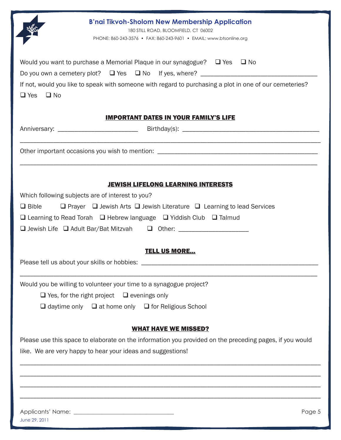| <b>B'nai Tikvoh-Sholom New Membership Application</b><br>180 STILL ROAD, BLOOMFIELD, CT 06002<br>PHONE: 860-243-3576 • FAX: 860-243-9601 • EMAIL: www.btsonline.org                                                                                                                                                                                                  |  |  |  |
|----------------------------------------------------------------------------------------------------------------------------------------------------------------------------------------------------------------------------------------------------------------------------------------------------------------------------------------------------------------------|--|--|--|
| Would you want to purchase a Memorial Plaque in our synagogue? $\Box$ Yes $\Box$ No<br>If not, would you like to speak with someone with regard to purchasing a plot in one of our cemeteries?<br>$\Box$ Yes $\Box$ No                                                                                                                                               |  |  |  |
| <b>IMPORTANT DATES IN YOUR FAMILY'S LIFE</b>                                                                                                                                                                                                                                                                                                                         |  |  |  |
|                                                                                                                                                                                                                                                                                                                                                                      |  |  |  |
|                                                                                                                                                                                                                                                                                                                                                                      |  |  |  |
| <b>JEWISH LIFELONG LEARNING INTERESTS</b><br>Which following subjects are of interest to you?<br>$\Box$ Prayer $\Box$ Jewish Arts $\Box$ Jewish Literature $\Box$ Learning to lead Services<br>$\Box$ Bible<br>$\Box$ Learning to Read Torah $\Box$ Hebrew language $\Box$ Yiddish Club $\Box$ Talmud<br>□ Jewish Life □ Adult Bar/Bat Mitzvah □ Other: ____________ |  |  |  |
| <b>TELL US MORE</b>                                                                                                                                                                                                                                                                                                                                                  |  |  |  |
| Would you be willing to volunteer your time to a synagogue project?                                                                                                                                                                                                                                                                                                  |  |  |  |
| $\Box$ Yes, for the right project $\Box$ evenings only                                                                                                                                                                                                                                                                                                               |  |  |  |
| $\Box$ daytime only $\Box$ at home only $\Box$ for Religious School                                                                                                                                                                                                                                                                                                  |  |  |  |
| <b>WHAT HAVE WE MISSED?</b>                                                                                                                                                                                                                                                                                                                                          |  |  |  |
| Please use this space to elaborate on the information you provided on the preceding pages, if you would                                                                                                                                                                                                                                                              |  |  |  |
| like. We are very happy to hear your ideas and suggestions!                                                                                                                                                                                                                                                                                                          |  |  |  |
|                                                                                                                                                                                                                                                                                                                                                                      |  |  |  |
|                                                                                                                                                                                                                                                                                                                                                                      |  |  |  |
|                                                                                                                                                                                                                                                                                                                                                                      |  |  |  |
| Page 5                                                                                                                                                                                                                                                                                                                                                               |  |  |  |
| June 29, 2011                                                                                                                                                                                                                                                                                                                                                        |  |  |  |